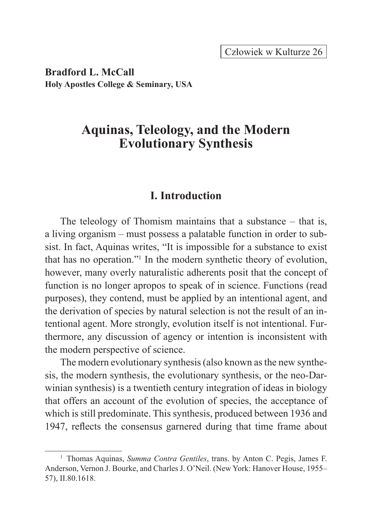**Bradford L. McCall Holy Apostles College & Seminary, USA**

# **Aquinas, Teleology, and the Modern Evolutionary Synthesis**

### **I. Introduction**

The teleology of Thomism maintains that a substance – that is, a living organism – must possess a palatable function in order to subsist. In fact, Aquinas writes, "It is impossible for a substance to exist that has no operation."<sup>1</sup> In the modern synthetic theory of evolution, however, many overly naturalistic adherents posit that the concept of function is no longer apropos to speak of in science. Functions (read purposes), they contend, must be applied by an intentional agent, and the derivation of species by natural selection is not the result of an intentional agent. More strongly, evolution itself is not intentional. Furthermore, any discussion of agency or intention is inconsistent with the modern perspective of science.

The modern evolutionary synthesis (also known as the new synthesis, the modern synthesis, the evolutionary synthesis, or the neo-Darwinian synthesis) is a twentieth century integration of ideas in biology that offers an account of the evolution of species, the acceptance of which is still predominate. This synthesis, produced between 1936 and 1947, reflects the consensus garnered during that time frame about

<sup>1</sup> Thomas Aquinas, *Summa Contra Gentiles*, trans. by Anton C. Pegis, James F. Anderson, Vernon J. Bourke, and Charles J. O'Neil. (New York: Hanover House, 1955– 57), II.80.1618.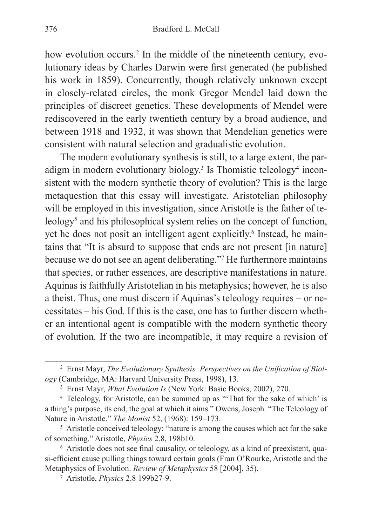how evolution occurs.<sup>2</sup> In the middle of the nineteenth century, evolutionary ideas by Charles Darwin were first generated (he published his work in 1859). Concurrently, though relatively unknown except in closely-related circles, the monk Gregor Mendel laid down the principles of discreet genetics. These developments of Mendel were rediscovered in the early twentieth century by a broad audience, and between 1918 and 1932, it was shown that Mendelian genetics were consistent with natural selection and gradualistic evolution.

The modern evolutionary synthesis is still, to a large extent, the paradigm in modern evolutionary biology.<sup>3</sup> Is Thomistic teleology<sup>4</sup> inconsistent with the modern synthetic theory of evolution? This is the large metaquestion that this essay will investigate. Aristotelian philosophy will be employed in this investigation, since Aristotle is the father of teleology<sup>5</sup> and his philosophical system relies on the concept of function, yet he does not posit an intelligent agent explicitly.<sup>6</sup> Instead, he maintains that "It is absurd to suppose that ends are not present [in nature] because we do not see an agent deliberating."7 He furthermore maintains that species, or rather essences, are descriptive manifestations in nature. Aquinas is faithfully Aristotelian in his metaphysics; however, he is also a theist. Thus, one must discern if Aquinas's teleology requires – or necessitates – his God. If this is the case, one has to further discern whether an intentional agent is compatible with the modern synthetic theory of evolution. If the two are incompatible, it may require a revision of

<sup>2</sup> Ernst Mayr, *The Evolutionary Synthesis: Perspectives on the Unification of Biology* (Cambridge, MA: Harvard University Press, 1998), 13.

<sup>3</sup> Ernst Mayr, *What Evolution Is* (New York: Basic Books, 2002), 270.

<sup>4</sup> Teleology, for Aristotle, can be summed up as "'That for the sake of which' is a thing's purpose, its end, the goal at which it aims." Owens, Joseph. "The Teleology of Nature in Aristotle." *The Monist* 52, (1968): 159–173.

<sup>5</sup> Aristotle conceived teleology: "nature is among the causes which act for the sake of something." Aristotle, *Physics* 2.8, 198b10.

<sup>&</sup>lt;sup>6</sup> Aristotle does not see final causality, or teleology, as a kind of preexistent, quasi-efficient cause pulling things toward certain goals (Fran O'Rourke, Aristotle and the Metaphysics of Evolution. *Review of Metaphysics* 58 [2004], 35).

<sup>7</sup> Aristotle, *Physics* 2.8 199b27-9.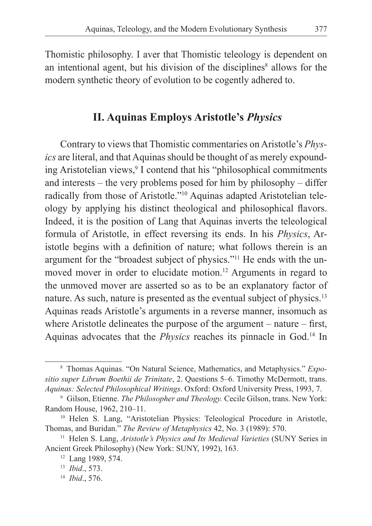Thomistic philosophy. I aver that Thomistic teleology is dependent on an intentional agent, but his division of the disciplines<sup>8</sup> allows for the modern synthetic theory of evolution to be cogently adhered to.

## **II. Aquinas Employs Aristotle's** *Physics*

Contrary to views that Thomistic commentaries on Aristotle's *Physics* are literal, and that Aquinas should be thought of as merely expounding Aristotelian views,<sup>9</sup> I contend that his "philosophical commitments and interests – the very problems posed for him by philosophy – differ radically from those of Aristotle."10 Aquinas adapted Aristotelian teleology by applying his distinct theological and philosophical flavors. Indeed, it is the position of Lang that Aquinas inverts the teleological formula of Aristotle, in effect reversing its ends. In his *Physics*, Aristotle begins with a definition of nature; what follows therein is an argument for the "broadest subject of physics."11 He ends with the unmoved mover in order to elucidate motion.<sup>12</sup> Arguments in regard to the unmoved mover are asserted so as to be an explanatory factor of nature. As such, nature is presented as the eventual subject of physics.<sup>13</sup> Aquinas reads Aristotle's arguments in a reverse manner, insomuch as where Aristotle delineates the purpose of the argument – nature – first, Aquinas advocates that the *Physics* reaches its pinnacle in God.<sup>14</sup> In

<sup>8</sup> Thomas Aquinas. "On Natural Science, Mathematics, and Metaphysics." *Expositio super Librum Boethii de Trinitate*, 2. Questions 5–6. Timothy McDermott, trans. *Aquinas: Selected Philosophical Writings*. Oxford: Oxford University Press, 1993, 7.

<sup>9</sup> Gilson, Etienne. *The Philosopher and Theology.* Cecile Gilson, trans. New York: Random House, 1962, 210–11.

<sup>10</sup> Helen S. Lang, "Aristotelian Physics: Teleological Procedure in Aristotle, Thomas, and Buridan." *The Review of Metaphysics* 42, No. 3 (1989): 570.

<sup>&</sup>lt;sup>11</sup> Helen S. Lang, *Aristotle's Physics and Its Medieval Varieties* (SUNY Series in Ancient Greek Philosophy) (New York: SUNY, 1992), 163.

<sup>12</sup> Lang 1989, 574.

<sup>13</sup> *Ibid*., 573.

<sup>14</sup> *Ibid*., 576.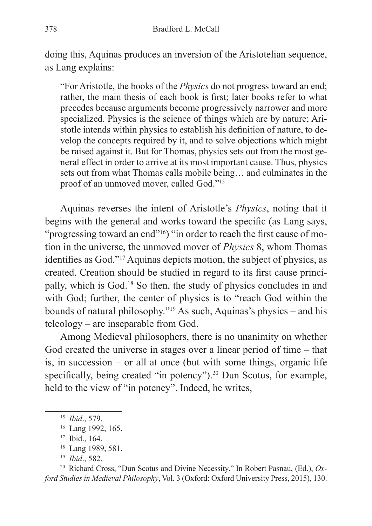doing this, Aquinas produces an inversion of the Aristotelian sequence, as Lang explains:

"For Aristotle, the books of the *Physics* do not progress toward an end; rather, the main thesis of each book is first; later books refer to what precedes because arguments become progressively narrower and more specialized. Physics is the science of things which are by nature; Aristotle intends within physics to establish his definition of nature, to develop the concepts required by it, and to solve objections which might be raised against it. But for Thomas, physics sets out from the most general effect in order to arrive at its most important cause. Thus, physics sets out from what Thomas calls mobile being… and culminates in the proof of an unmoved mover, called God."15

Aquinas reverses the intent of Aristotle's *Physics*, noting that it begins with the general and works toward the specific (as Lang says, "progressing toward an end"16) "in order to reach the first cause of motion in the universe, the unmoved mover of *Physics* 8, whom Thomas identifies as God."17 Aquinas depicts motion, the subject of physics, as created. Creation should be studied in regard to its first cause principally, which is God.18 So then, the study of physics concludes in and with God; further, the center of physics is to "reach God within the bounds of natural philosophy."19 As such, Aquinas's physics – and his teleology – are inseparable from God.

Among Medieval philosophers, there is no unanimity on whether God created the universe in stages over a linear period of time – that is, in succession – or all at once (but with some things, organic life specifically, being created "in potency").<sup>20</sup> Dun Scotus, for example, held to the view of "in potency". Indeed, he writes,

<sup>20</sup> Richard Cross, "Dun Scotus and Divine Necessity." In Robert Pasnau, (Ed.), *Oxford Studies in Medieval Philosophy*, Vol. 3 (Oxford: Oxford University Press, 2015), 130.

<sup>15</sup> *Ibid*., 579.

<sup>&</sup>lt;sup>16</sup> Lang 1992, 165.

<sup>17</sup> Ibid., 164.

<sup>18</sup> Lang 1989, 581.

<sup>19</sup> *Ibid*., 582.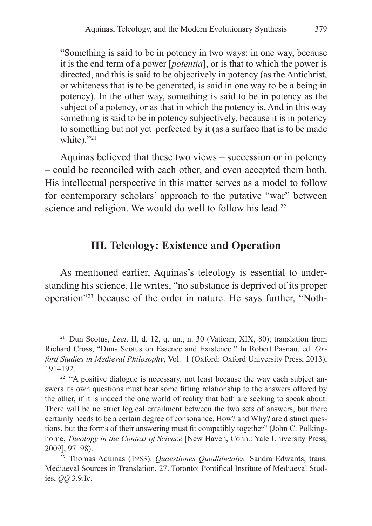"Something is said to be in potency in two ways: in one way, because it is the end term of a power [*potentia*], or is that to which the power is directed, and this is said to be objectively in potency (as the Antichrist, or whiteness that is to be generated, is said in one way to be a being in potency). In the other way, something is said to be in potency as the subject of a potency, or as that in which the potency is. And in this way something is said to be in potency subjectively, because it is in potency to something but not yet perfected by it (as a surface that is to be made white)."<sup>21</sup>

Aquinas believed that these two views – succession or in potency – could be reconciled with each other, and even accepted them both. His intellectual perspective in this matter serves as a model to follow for contemporary scholars' approach to the putative "war" between science and religion. We would do well to follow his lead.<sup>22</sup>

## **III. Teleology: Existence and Operation**

As mentioned earlier, Aquinas's teleology is essential to understanding his science. He writes, "no substance is deprived of its proper operation"23 because of the order in nature. He says further, "Noth-

<sup>21</sup> Dun Scotus, *Lect*. II, d. 12, q. un., n. 30 (Vatican, XIX, 80); translation from Richard Cross, "Duns Scotus on Essence and Existence." In Robert Pasnau, ed. *Oxford Studies in Medieval Philosophy*, Vol. 1 (Oxford: Oxford University Press, 2013),  $191-192$ .<br><sup>22</sup> "A positive dialogue is necessary, not least because the way each subject an-

swers its own questions must bear some fitting relationship to the answers offered by the other, if it is indeed the one world of reality that both are seeking to speak about. There will be no strict logical entailment between the two sets of answers, but there certainly needs to be a certain degree of consonance. How? and Why? are distinct questions, but the forms of their answering must fit compatibly together" (John C. Polkinghorne, *Theology in the Context of Science* [New Haven, Conn.: Yale University Press,

<sup>2009], 97–98). 23</sup> Thomas Aquinas (1983). *Quaestiones Quodlibetales.* Sandra Edwards, trans. Mediaeval Sources in Translation, 27. Toronto: Pontifical Institute of Mediaeval Studies, *QQ* 3.9.Ic.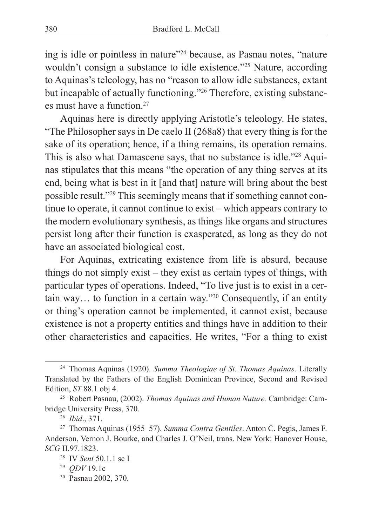ing is idle or pointless in nature"24 because, as Pasnau notes, "nature wouldn't consign a substance to idle existence."25 Nature, according to Aquinas's teleology, has no "reason to allow idle substances, extant but incapable of actually functioning."26 Therefore, existing substances must have a function.<sup>27</sup>

Aquinas here is directly applying Aristotle's teleology. He states, "The Philosopher says in De caelo II (268a8) that every thing is for the sake of its operation; hence, if a thing remains, its operation remains. This is also what Damascene says, that no substance is idle."28 Aquinas stipulates that this means "the operation of any thing serves at its end, being what is best in it [and that] nature will bring about the best possible result."29 This seemingly means that if something cannot continue to operate, it cannot continue to exist – which appears contrary to the modern evolutionary synthesis, as things like organs and structures persist long after their function is exasperated, as long as they do not have an associated biological cost.

For Aquinas, extricating existence from life is absurd, because things do not simply exist – they exist as certain types of things, with particular types of operations. Indeed, "To live just is to exist in a certain way… to function in a certain way."30 Consequently, if an entity or thing's operation cannot be implemented, it cannot exist, because existence is not a property entities and things have in addition to their other characteristics and capacities. He writes, "For a thing to exist

<sup>24</sup> Thomas Aquinas (1920). *Summa Theologiae of St. Thomas Aquinas*. Literally Translated by the Fathers of the English Dominican Province, Second and Revised Edition, *ST* 88.1 obj 4.

<sup>25</sup> Robert Pasnau, (2002). *Thomas Aquinas and Human Nature.* Cambridge: Cambridge University Press, 370.

<sup>26</sup> *Ibid*., 371.

<sup>27</sup> Thomas Aquinas (1955–57). *Summa Contra Gentiles*. Anton C. Pegis, James F. Anderson, Vernon J. Bourke, and Charles J. O'Neil, trans. New York: Hanover House, *SCG* II.97.1823.

<sup>28</sup> IV *Sent* 50.1.1 sc I

<sup>29</sup> *QDV* 19.1c

<sup>30</sup> Pasnau 2002, 370.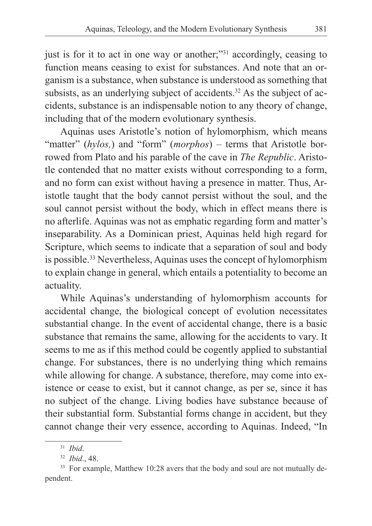just is for it to act in one way or another;"<sup>31</sup> accordingly, ceasing to function means ceasing to exist for substances. And note that an organism is a substance, when substance is understood as something that subsists, as an underlying subject of accidents.<sup>32</sup> As the subject of accidents, substance is an indispensable notion to any theory of change, including that of the modern evolutionary synthesis.

Aquinas uses Aristotle's notion of hylomorphism, which means "matter" (*hylos,*) and "form" (*morphos*) – terms that Aristotle borrowed from Plato and his parable of the cave in *The Republic*. Aristotle contended that no matter exists without corresponding to a form, and no form can exist without having a presence in matter. Thus, Aristotle taught that the body cannot persist without the soul, and the soul cannot persist without the body, which in effect means there is no afterlife. Aquinas was not as emphatic regarding form and matter's inseparability. As a Dominican priest, Aquinas held high regard for Scripture, which seems to indicate that a separation of soul and body is possible.<sup>33</sup> Nevertheless, Aquinas uses the concept of hylomorphism to explain change in general, which entails a potentiality to become an actuality.

While Aquinas's understanding of hylomorphism accounts for accidental change, the biological concept of evolution necessitates substantial change. In the event of accidental change, there is a basic substance that remains the same, allowing for the accidents to vary. It seems to me as if this method could be cogently applied to substantial change. For substances, there is no underlying thing which remains while allowing for change. A substance, therefore, may come into existence or cease to exist, but it cannot change, as per se, since it has no subject of the change. Living bodies have substance because of their substantial form. Substantial forms change in accident, but they cannot change their very essence, according to Aquinas. Indeed, "In

<sup>31</sup> *Ibid*.

<sup>32</sup> *Ibid*., 48.

<sup>&</sup>lt;sup>33</sup> For example, Matthew 10:28 avers that the body and soul are not mutually dependent.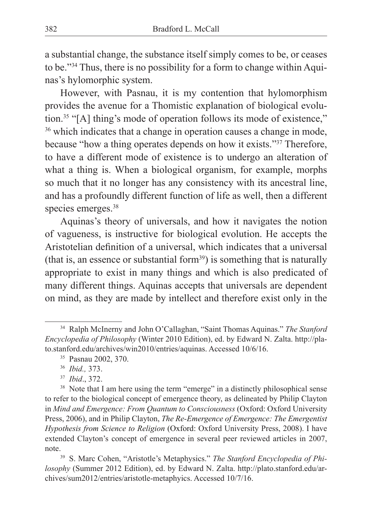a substantial change, the substance itself simply comes to be, or ceases to be."<sup>34</sup> Thus, there is no possibility for a form to change within Aquinas's hylomorphic system.

However, with Pasnau, it is my contention that hylomorphism provides the avenue for a Thomistic explanation of biological evolution.35 "[A] thing's mode of operation follows its mode of existence," <sup>36</sup> which indicates that a change in operation causes a change in mode, because "how a thing operates depends on how it exists."37 Therefore, to have a different mode of existence is to undergo an alteration of what a thing is. When a biological organism, for example, morphs so much that it no longer has any consistency with its ancestral line, and has a profoundly different function of life as well, then a different species emerges.<sup>38</sup>

Aquinas's theory of universals, and how it navigates the notion of vagueness, is instructive for biological evolution. He accepts the Aristotelian definition of a universal, which indicates that a universal (that is, an essence or substantial form<sup>39</sup>) is something that is naturally appropriate to exist in many things and which is also predicated of many different things. Aquinas accepts that universals are dependent on mind, as they are made by intellect and therefore exist only in the

<sup>34</sup> Ralph McInerny and John O'Callaghan, "Saint Thomas Aquinas." *The Stanford Encyclopedia of Philosophy* (Winter 2010 Edition), ed. by Edward N. Zalta. http://plato.stanford.edu/archives/win2010/entries/aquinas. Accessed 10/6/16.

<sup>35</sup> Pasnau 2002, 370.

<sup>36</sup> *Ibid.,* 373.

<sup>37</sup> *Ibid*., 372.

<sup>&</sup>lt;sup>38</sup> Note that I am here using the term "emerge" in a distinctly philosophical sense to refer to the biological concept of emergence theory, as delineated by Philip Clayton in *Mind and Emergence: From Quantum to Consciousness* (Oxford: Oxford University Press, 2006), and in Philip Clayton, *The Re-Emergence of Emergence: The Emergentist Hypothesis from Science to Religion* (Oxford: Oxford University Press, 2008). I have extended Clayton's concept of emergence in several peer reviewed articles in 2007,

note. 39 S. Marc Cohen, "Aristotle's Metaphysics." *The Stanford Encyclopedia of Philosophy* (Summer 2012 Edition), ed. by Edward N. Zalta. http://plato.stanford.edu/archives/sum2012/entries/aristotle-metaphyics. Accessed 10/7/16.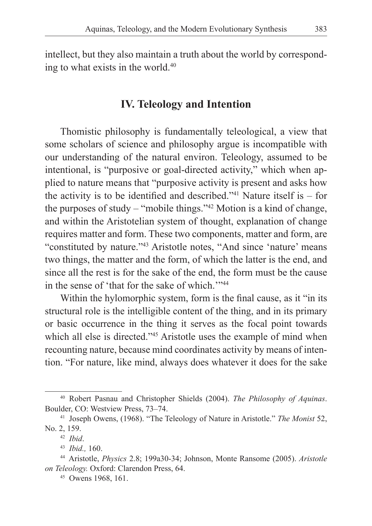intellect, but they also maintain a truth about the world by corresponding to what exists in the world.40

#### **IV. Teleology and Intention**

Thomistic philosophy is fundamentally teleological, a view that some scholars of science and philosophy argue is incompatible with our understanding of the natural environ. Teleology, assumed to be intentional, is "purposive or goal-directed activity," which when applied to nature means that "purposive activity is present and asks how the activity is to be identified and described."<sup>41</sup> Nature itself is  $-$  for the purposes of study – "mobile things."42 Motion is a kind of change, and within the Aristotelian system of thought, explanation of change requires matter and form. These two components, matter and form, are "constituted by nature."<sup>43</sup> Aristotle notes, "And since 'nature' means two things, the matter and the form, of which the latter is the end, and since all the rest is for the sake of the end, the form must be the cause in the sense of 'that for the sake of which.'"44

Within the hylomorphic system, form is the final cause, as it "in its structural role is the intelligible content of the thing, and in its primary or basic occurrence in the thing it serves as the focal point towards which all else is directed."<sup>45</sup> Aristotle uses the example of mind when recounting nature, because mind coordinates activity by means of intention. "For nature, like mind, always does whatever it does for the sake

<sup>40</sup> Robert Pasnau and Christopher Shields (2004). *The Philosophy of Aquinas*. Boulder, CO: Westview Press, 73–74.

<sup>41</sup> Joseph Owens, (1968). "The Teleology of Nature in Aristotle." *The Monist* 52, No. 2, 159.

<sup>42</sup> *Ibid*.

<sup>43</sup> *Ibid.,* 160.

<sup>44</sup> Aristotle, *Physics* 2.8; 199a30-34; Johnson, Monte Ransome (2005). *Aristotle on Teleology.* Oxford: Clarendon Press, 64.

<sup>45</sup> Owens 1968, 161.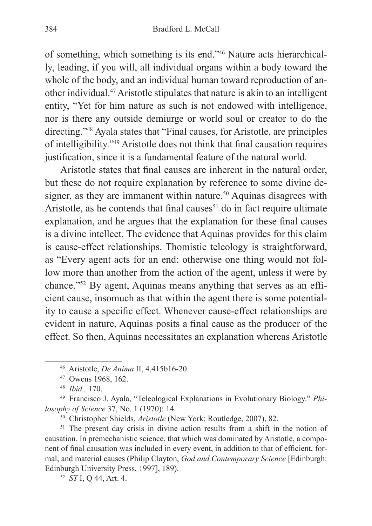of something, which something is its end."46 Nature acts hierarchically, leading, if you will, all individual organs within a body toward the whole of the body, and an individual human toward reproduction of another individual.47 Aristotle stipulates that nature is akin to an intelligent entity, "Yet for him nature as such is not endowed with intelligence, nor is there any outside demiurge or world soul or creator to do the directing."48 Ayala states that "Final causes, for Aristotle, are principles of intelligibility."49 Aristotle does not think that final causation requires justification, since it is a fundamental feature of the natural world.

Aristotle states that final causes are inherent in the natural order, but these do not require explanation by reference to some divine designer, as they are immanent within nature.<sup>50</sup> Aquinas disagrees with Aristotle, as he contends that final causes<sup>51</sup> do in fact require ultimate explanation, and he argues that the explanation for these final causes is a divine intellect. The evidence that Aquinas provides for this claim is cause-effect relationships. Thomistic teleology is straightforward, as "Every agent acts for an end: otherwise one thing would not follow more than another from the action of the agent, unless it were by chance."52 By agent, Aquinas means anything that serves as an efficient cause, insomuch as that within the agent there is some potentiality to cause a specific effect. Whenever cause-effect relationships are evident in nature, Aquinas posits a final cause as the producer of the effect. So then, Aquinas necessitates an explanation whereas Aristotle

<sup>46</sup> Aristotle, *De Anima* II, 4,415b16-20.

<sup>47</sup> Owens 1968, 162.

<sup>48</sup> *Ibid.,* 170.

<sup>49</sup> Francisco J. Ayala, "Teleological Explanations in Evolutionary Biology." *Philosophy of Science* 37, No. 1 (1970): 14.

<sup>50</sup> Christopher Shields, *Aristotle* (New York: Routledge, 2007), 82.

<sup>&</sup>lt;sup>51</sup> The present day crisis in divine action results from a shift in the notion of causation. In premechanistic science, that which was dominated by Aristotle, a component of final causation was included in every event, in addition to that of efficient, formal, and material causes (Philip Clayton, *God and Contemporary Science* [Edinburgh: Edinburgh University Press, 1997], 189).

<sup>52</sup> *ST* I, Q 44, Art. 4.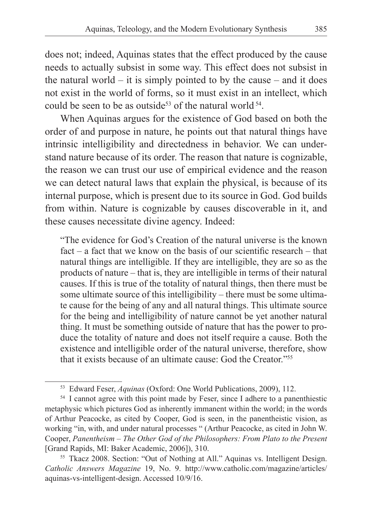does not; indeed, Aquinas states that the effect produced by the cause needs to actually subsist in some way. This effect does not subsist in the natural world  $-$  it is simply pointed to by the cause  $-$  and it does not exist in the world of forms, so it must exist in an intellect, which could be seen to be as outside<sup>53</sup> of the natural world  $54$ .

When Aquinas argues for the existence of God based on both the order of and purpose in nature, he points out that natural things have intrinsic intelligibility and directedness in behavior. We can understand nature because of its order. The reason that nature is cognizable, the reason we can trust our use of empirical evidence and the reason we can detect natural laws that explain the physical, is because of its internal purpose, which is present due to its source in God. God builds from within. Nature is cognizable by causes discoverable in it, and these causes necessitate divine agency. Indeed:

"The evidence for God's Creation of the natural universe is the known fact – a fact that we know on the basis of our scientific research – that natural things are intelligible. If they are intelligible, they are so as the products of nature – that is, they are intelligible in terms of their natural causes. If this is true of the totality of natural things, then there must be some ultimate source of this intelligibility – there must be some ultimate cause for the being of any and all natural things. This ultimate source for the being and intelligibility of nature cannot be yet another natural thing. It must be something outside of nature that has the power to produce the totality of nature and does not itself require a cause. Both the existence and intelligible order of the natural universe, therefore, show that it exists because of an ultimate cause: God the Creator."<sup>55</sup>

<sup>53</sup> Edward Feser, *Aquinas* (Oxford: One World Publications, 2009), 112.

<sup>&</sup>lt;sup>54</sup> I cannot agree with this point made by Feser, since I adhere to a panenthiestic metaphysic which pictures God as inherently immanent within the world; in the words of Arthur Peacocke, as cited by Cooper, God is seen, in the panentheistic vision, as working "in, with, and under natural processes " (Arthur Peacocke, as cited in John W. Cooper, *Panentheism – The Other God of the Philosophers: From Plato to the Present* [Grand Rapids, MI: Baker Academic, 2006]), 310.

<sup>55</sup> Tkacz 2008. Section: "Out of Nothing at All." Aquinas vs. Intelligent Design. *Catholic Answers Magazine* 19, No. 9. http://www.catholic.com/magazine/articles/ aquinas-vs-intelligent-design. Accessed 10/9/16.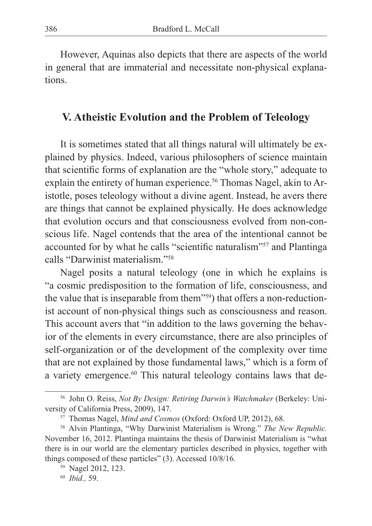However, Aquinas also depicts that there are aspects of the world in general that are immaterial and necessitate non-physical explanations.

## **V. Atheistic Evolution and the Problem of Teleology**

It is sometimes stated that all things natural will ultimately be explained by physics. Indeed, various philosophers of science maintain that scientific forms of explanation are the "whole story," adequate to explain the entirety of human experience.<sup>56</sup> Thomas Nagel, akin to Aristotle, poses teleology without a divine agent. Instead, he avers there are things that cannot be explained physically. He does acknowledge that evolution occurs and that consciousness evolved from non-conscious life. Nagel contends that the area of the intentional cannot be accounted for by what he calls "scientific naturalism"57 and Plantinga calls "Darwinist materialism."58

Nagel posits a natural teleology (one in which he explains is "a cosmic predisposition to the formation of life, consciousness, and the value that is inseparable from them"59) that offers a non-reductionist account of non-physical things such as consciousness and reason. This account avers that "in addition to the laws governing the behavior of the elements in every circumstance, there are also principles of self-organization or of the development of the complexity over time that are not explained by those fundamental laws," which is a form of a variety emergence.<sup>60</sup> This natural teleology contains laws that de-

<sup>56</sup> John O. Reiss, *Not By Design: Retiring Darwin's Watchmaker* (Berkeley: University of California Press, 2009), 147.

<sup>57</sup> Thomas Nagel, *Mind and Cosmos* (Oxford: Oxford UP, 2012), 68.

<sup>58</sup> Alvin Plantinga, "Why Darwinist Materialism is Wrong." *The New Republic.*  November 16, 2012. Plantinga maintains the thesis of Darwinist Materialism is "what there is in our world are the elementary particles described in physics, together with things composed of these particles" (3). Accessed 10/8/16.

<sup>59</sup> Nagel 2012, 123.

<sup>60</sup> *Ibid.,* 59.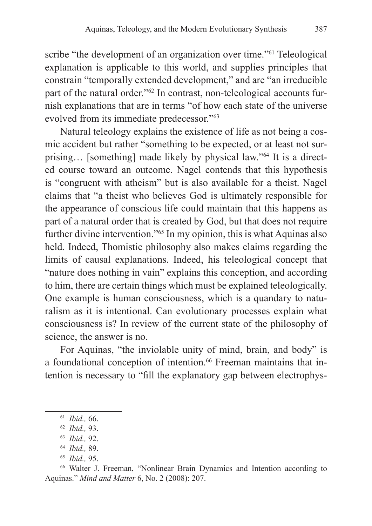scribe "the development of an organization over time."<sup>61</sup> Teleological explanation is applicable to this world, and supplies principles that constrain "temporally extended development," and are "an irreducible part of the natural order."62 In contrast, non-teleological accounts furnish explanations that are in terms "of how each state of the universe evolved from its immediate predecessor."<sup>63</sup>

Natural teleology explains the existence of life as not being a cosmic accident but rather "something to be expected, or at least not surprising… [something] made likely by physical law."<sup>64</sup> It is a directed course toward an outcome. Nagel contends that this hypothesis is "congruent with atheism" but is also available for a theist. Nagel claims that "a theist who believes God is ultimately responsible for the appearance of conscious life could maintain that this happens as part of a natural order that is created by God, but that does not require further divine intervention."65 In my opinion, this is what Aquinas also held. Indeed, Thomistic philosophy also makes claims regarding the limits of causal explanations. Indeed, his teleological concept that "nature does nothing in vain" explains this conception, and according to him, there are certain things which must be explained teleologically. One example is human consciousness, which is a quandary to naturalism as it is intentional. Can evolutionary processes explain what consciousness is? In review of the current state of the philosophy of science, the answer is no.

For Aquinas, "the inviolable unity of mind, brain, and body" is a foundational conception of intention.<sup>66</sup> Freeman maintains that intention is necessary to "fill the explanatory gap between electrophys-

<sup>65</sup> *Ibid.,* 95.

<sup>66</sup> Walter J. Freeman, "Nonlinear Brain Dynamics and Intention according to Aquinas." *Mind and Matter* 6, No. 2 (2008): 207.

<sup>61</sup> *Ibid.,* 66.

<sup>62</sup> *Ibid.,* 93.

<sup>63</sup> *Ibid.,* 92.

<sup>64</sup> *Ibid.,* 89.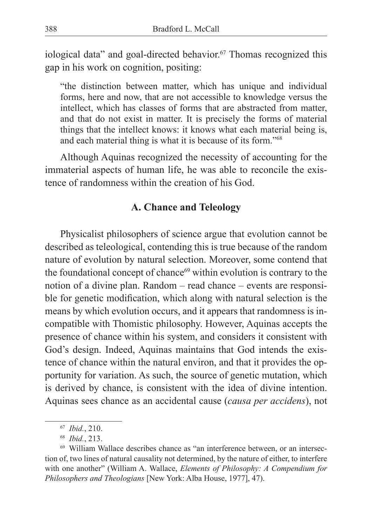iological data" and goal-directed behavior.<sup>67</sup> Thomas recognized this gap in his work on cognition, positing:

"the distinction between matter, which has unique and individual forms, here and now, that are not accessible to knowledge versus the intellect, which has classes of forms that are abstracted from matter, and that do not exist in matter. It is precisely the forms of material things that the intellect knows: it knows what each material being is, and each material thing is what it is because of its form."68

Although Aquinas recognized the necessity of accounting for the immaterial aspects of human life, he was able to reconcile the existence of randomness within the creation of his God.

#### **A. Chance and Teleology**

Physicalist philosophers of science argue that evolution cannot be described as teleological, contending this is true because of the random nature of evolution by natural selection. Moreover, some contend that the foundational concept of chance<sup>69</sup> within evolution is contrary to the notion of a divine plan. Random – read chance – events are responsible for genetic modification, which along with natural selection is the means by which evolution occurs, and it appears that randomness is incompatible with Thomistic philosophy. However, Aquinas accepts the presence of chance within his system, and considers it consistent with God's design. Indeed, Aquinas maintains that God intends the existence of chance within the natural environ, and that it provides the opportunity for variation. As such, the source of genetic mutation, which is derived by chance, is consistent with the idea of divine intention. Aquinas sees chance as an accidental cause (*causa per accidens*), not

<sup>67</sup> *Ibid.*, 210.

<sup>68</sup> *Ibid.*, 213.

<sup>69</sup> William Wallace describes chance as "an interference between, or an intersection of, two lines of natural causality not determined, by the nature of either, to interfere with one another" (William A. Wallace, *Elements of Philosophy: A Compendium for Philosophers and Theologians* [New York: Alba House, 1977], 47).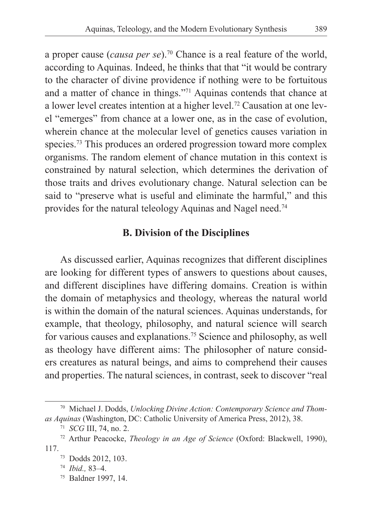a proper cause (*causa per se*).70 Chance is a real feature of the world, according to Aquinas. Indeed, he thinks that that "it would be contrary to the character of divine providence if nothing were to be fortuitous and a matter of chance in things."71 Aquinas contends that chance at a lower level creates intention at a higher level.72 Causation at one level "emerges" from chance at a lower one, as in the case of evolution, wherein chance at the molecular level of genetics causes variation in species.<sup>73</sup> This produces an ordered progression toward more complex organisms. The random element of chance mutation in this context is constrained by natural selection, which determines the derivation of those traits and drives evolutionary change. Natural selection can be said to "preserve what is useful and eliminate the harmful," and this provides for the natural teleology Aquinas and Nagel need.74

#### **B. Division of the Disciplines**

As discussed earlier, Aquinas recognizes that different disciplines are looking for different types of answers to questions about causes, and different disciplines have differing domains. Creation is within the domain of metaphysics and theology, whereas the natural world is within the domain of the natural sciences. Aquinas understands, for example, that theology, philosophy, and natural science will search for various causes and explanations.75 Science and philosophy, as well as theology have different aims: The philosopher of nature considers creatures as natural beings, and aims to comprehend their causes and properties. The natural sciences, in contrast, seek to discover "real

<sup>70</sup> Michael J. Dodds, *Unlocking Divine Action: Contemporary Science and Thomas Aquinas* (Washington, DC: Catholic University of America Press, 2012), 38.

<sup>71</sup> *SCG* III, 74, no. 2.

<sup>72</sup> Arthur Peacocke, *Theology in an Age of Science* (Oxford: Blackwell, 1990), 117.

<sup>73</sup> Dodds 2012, 103.

<sup>74</sup> *Ibid.,* 83–4.

<sup>75</sup> Baldner 1997, 14.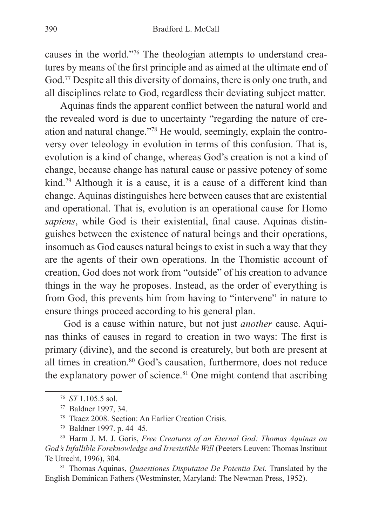causes in the world."76 The theologian attempts to understand creatures by means of the first principle and as aimed at the ultimate end of God.77 Despite all this diversity of domains, there is only one truth, and all disciplines relate to God, regardless their deviating subject matter.

Aquinas finds the apparent conflict between the natural world and the revealed word is due to uncertainty "regarding the nature of creation and natural change."78 He would, seemingly, explain the controversy over teleology in evolution in terms of this confusion. That is, evolution is a kind of change, whereas God's creation is not a kind of change, because change has natural cause or passive potency of some kind.79 Although it is a cause, it is a cause of a different kind than change. Aquinas distinguishes here between causes that are existential and operational. That is, evolution is an operational cause for Homo *sapiens*, while God is their existential, final cause. Aquinas distinguishes between the existence of natural beings and their operations, insomuch as God causes natural beings to exist in such a way that they are the agents of their own operations. In the Thomistic account of creation, God does not work from "outside" of his creation to advance things in the way he proposes. Instead, as the order of everything is from God, this prevents him from having to "intervene" in nature to ensure things proceed according to his general plan.

 God is a cause within nature, but not just *another* cause. Aquinas thinks of causes in regard to creation in two ways: The first is primary (divine), and the second is creaturely, but both are present at all times in creation.<sup>80</sup> God's causation, furthermore, does not reduce the explanatory power of science. $81$  One might contend that ascribing

<sup>76</sup> *ST* 1.105.5 sol.

<sup>77</sup> Baldner 1997, 34.

<sup>78</sup> Tkacz 2008. Section: An Earlier Creation Crisis.

<sup>79</sup> Baldner 1997. p. 44–45.

<sup>80</sup> Harm J. M. J. Goris, *Free Creatures of an Eternal God: Thomas Aquinas on God's Infallible Foreknowledge and Irresistible Will* (Peeters Leuven: Thomas Instituut Te Utrecht, 1996), 304.

<sup>81</sup> Thomas Aquinas, *Quaestiones Disputatae De Potentia Dei.* Translated by the English Dominican Fathers (Westminster, Maryland: The Newman Press, 1952).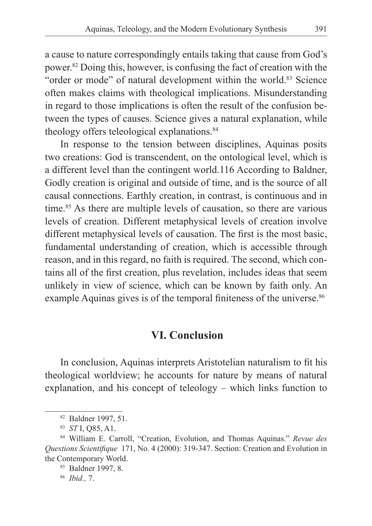a cause to nature correspondingly entails taking that cause from God's power.82 Doing this, however, is confusing the fact of creation with the "order or mode" of natural development within the world.<sup>83</sup> Science often makes claims with theological implications. Misunderstanding in regard to those implications is often the result of the confusion between the types of causes. Science gives a natural explanation, while theology offers teleological explanations.<sup>84</sup>

In response to the tension between disciplines, Aquinas posits two creations: God is transcendent, on the ontological level, which is a different level than the contingent world.116 According to Baldner, Godly creation is original and outside of time, and is the source of all causal connections. Earthly creation, in contrast, is continuous and in time.<sup>85</sup> As there are multiple levels of causation, so there are various levels of creation. Different metaphysical levels of creation involve different metaphysical levels of causation. The first is the most basic, fundamental understanding of creation, which is accessible through reason, and in this regard, no faith is required. The second, which contains all of the first creation, plus revelation, includes ideas that seem unlikely in view of science, which can be known by faith only. An example Aquinas gives is of the temporal finiteness of the universe.<sup>86</sup>

## **VI. Conclusion**

In conclusion, Aquinas interprets Aristotelian naturalism to fit his theological worldview; he accounts for nature by means of natural explanation, and his concept of teleology – which links function to

<sup>82</sup> Baldner 1997, 51.

<sup>83</sup> *ST* I, Q85, A1.

<sup>84</sup> William E. Carroll, "Creation, Evolution, and Thomas Aquinas." *Revue des Questions Scientifique* 171, No. 4 (2000): 319-347. Section: Creation and Evolution in the Contemporary World.

<sup>85</sup> Baldner 1997, 8. 86 *Ibid.,* 7.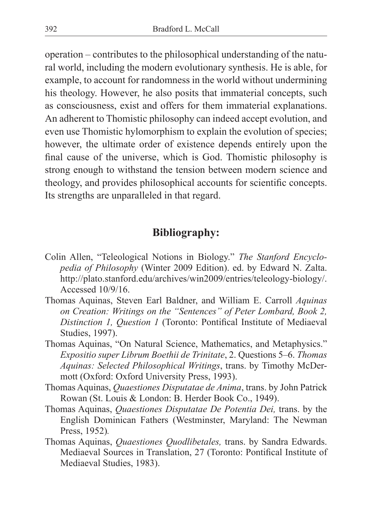operation – contributes to the philosophical understanding of the natural world, including the modern evolutionary synthesis. He is able, for example, to account for randomness in the world without undermining his theology. However, he also posits that immaterial concepts, such as consciousness, exist and offers for them immaterial explanations. An adherent to Thomistic philosophy can indeed accept evolution, and even use Thomistic hylomorphism to explain the evolution of species; however, the ultimate order of existence depends entirely upon the final cause of the universe, which is God. Thomistic philosophy is strong enough to withstand the tension between modern science and theology, and provides philosophical accounts for scientific concepts. Its strengths are unparalleled in that regard.

## **Bibliography:**

- Colin Allen, "Teleological Notions in Biology." *The Stanford Encyclopedia of Philosophy* (Winter 2009 Edition). ed. by Edward N. Zalta. http://plato.stanford.edu/archives/win2009/entries/teleology-biology/. Accessed 10/9/16.
- Thomas Aquinas, Steven Earl Baldner, and William E. Carroll *Aquinas on Creation: Writings on the "Sentences" of Peter Lombard, Book 2, Distinction 1, Question 1* (Toronto: Pontifical Institute of Mediaeval Studies, 1997).
- Thomas Aquinas, "On Natural Science, Mathematics, and Metaphysics." *Expositio super Librum Boethii de Trinitate*, 2. Questions 5–6. *Thomas Aquinas: Selected Philosophical Writings*, trans. by Timothy McDermott (Oxford: Oxford University Press, 1993).
- Thomas Aquinas, *Quaestiones Disputatae de Anima*, trans. by John Patrick Rowan (St. Louis & London: B. Herder Book Co., 1949).
- Thomas Aquinas, *Quaestiones Disputatae De Potentia Dei,* trans. by the English Dominican Fathers (Westminster, Maryland: The Newman Press, 1952)*.*
- Thomas Aquinas, *Quaestiones Quodlibetales,* trans. by Sandra Edwards. Mediaeval Sources in Translation, 27 (Toronto: Pontifical Institute of Mediaeval Studies, 1983).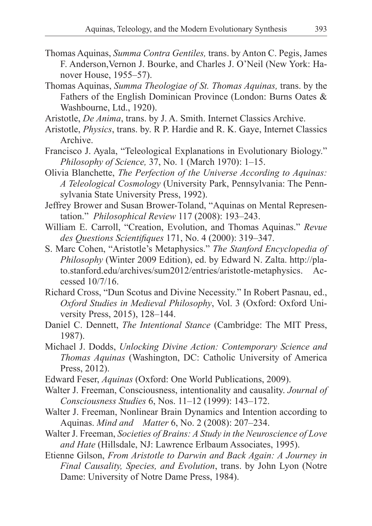- Thomas Aquinas, *Summa Contra Gentiles,* trans. by Anton C. Pegis, James F. Anderson,Vernon J. Bourke, and Charles J. O'Neil (New York: Hanover House, 1955–57).
- Thomas Aquinas, *Summa Theologiae of St. Thomas Aquinas,* trans. by the Fathers of the English Dominican Province (London: Burns Oates & Washbourne, Ltd., 1920).
- Aristotle, *De Anima*, trans. by J. A. Smith. Internet Classics Archive.
- Aristotle, *Physics*, trans. by. R P. Hardie and R. K. Gaye, Internet Classics Archive.
- Francisco J. Ayala, "Teleological Explanations in Evolutionary Biology." *Philosophy of Science,* 37, No. 1 (March 1970): 1–15.
- Olivia Blanchette, *The Perfection of the Universe According to Aquinas: A Teleological Cosmology* (University Park, Pennsylvania: The Pennsylvania State University Press, 1992).
- Jeffrey Brower and Susan Brower-Toland, "Aquinas on Mental Representation." *Philosophical Review* 117 (2008): 193–243.
- William E. Carroll, "Creation, Evolution, and Thomas Aquinas." *Revue des Questions Scientifiques* 171, No. 4 (2000): 319–347.
- S. Marc Cohen, "Aristotle's Metaphysics." *The Stanford Encyclopedia of Philosophy* (Winter 2009 Edition), ed. by Edward N. Zalta. http://plato.stanford.edu/archives/sum2012/entries/aristotle-metaphysics. Accessed 10/7/16.
- Richard Cross, "Dun Scotus and Divine Necessity." In Robert Pasnau, ed., *Oxford Studies in Medieval Philosophy*, Vol. 3 (Oxford: Oxford University Press, 2015), 128–144.
- Daniel C. Dennett, *The Intentional Stance* (Cambridge: The MIT Press, 1987).
- Michael J. Dodds, *Unlocking Divine Action: Contemporary Science and Thomas Aquinas* (Washington, DC: Catholic University of America Press, 2012).
- Edward Feser, *Aquinas* (Oxford: One World Publications, 2009).
- Walter J. Freeman, Consciousness, intentionality and causality. *Journal of Consciousness Studies* 6, Nos. 11–12 (1999): 143–172.
- Walter J. Freeman, Nonlinear Brain Dynamics and Intention according to Aquinas. *Mind and Matter* 6, No. 2 (2008): 207–234.
- Walter J. Freeman, *Societies of Brains: A Study in the Neuroscience of Love and Hate* (Hillsdale, NJ: Lawrence Erlbaum Associates, 1995).
- Etienne Gilson, *From Aristotle to Darwin and Back Again: A Journey in Final Causality, Species, and Evolution*, trans. by John Lyon (Notre Dame: University of Notre Dame Press, 1984).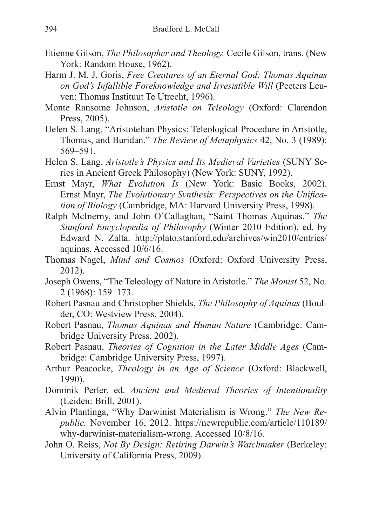- Etienne Gilson, *The Philosopher and Theology.* Cecile Gilson, trans. (New York: Random House, 1962).
- Harm J. M. J. Goris, *Free Creatures of an Eternal God: Thomas Aquinas on God's Infallible Foreknowledge and Irresistible Will* (Peeters Leuven: Thomas Instituut Te Utrecht, 1996).
- Monte Ransome Johnson, *Aristotle on Teleology* (Oxford: Clarendon Press, 2005).
- Helen S. Lang, "Aristotelian Physics: Teleological Procedure in Aristotle, Thomas, and Buridan." *The Review of Metaphysics* 42, No. 3 (1989): 569–591.
- Helen S. Lang, *Aristotle's Physics and Its Medieval Varieties* (SUNY Series in Ancient Greek Philosophy) (New York: SUNY, 1992).
- Ernst Mayr, *What Evolution Is* (New York: Basic Books, 2002). Ernst Mayr, *The Evolutionary Synthesis: Perspectives on the Unification of Biology* (Cambridge, MA: Harvard University Press, 1998).
- Ralph McInerny, and John O'Callaghan, "Saint Thomas Aquinas." *The Stanford Encyclopedia of Philosophy* (Winter 2010 Edition), ed. by Edward N. Zalta. http://plato.stanford.edu/archives/win2010/entries/ aquinas. Accessed 10/6/16.
- Thomas Nagel, *Mind and Cosmos* (Oxford: Oxford University Press, 2012).
- Joseph Owens, "The Teleology of Nature in Aristotle." *The Monist* 52, No. 2 (1968): 159–173.
- Robert Pasnau and Christopher Shields, *The Philosophy of Aquinas* (Boulder, CO: Westview Press, 2004).
- Robert Pasnau, *Thomas Aquinas and Human Nature* (Cambridge: Cambridge University Press, 2002).
- Robert Pasnau, *Theories of Cognition in the Later Middle Ages* (Cambridge: Cambridge University Press, 1997).
- Arthur Peacocke, *Theology in an Age of Science* (Oxford: Blackwell, 1990).
- Dominik Perler, ed. *Ancient and Medieval Theories of Intentionality*  (Leiden: Brill, 2001).
- Alvin Plantinga, "Why Darwinist Materialism is Wrong." *The New Republic.* November 16, 2012. https://newrepublic.com/article/110189/ why-darwinist-materialism-wrong. Accessed 10/8/16.
- John O. Reiss, *Not By Design: Retiring Darwin's Watchmaker* (Berkeley: University of California Press, 2009).